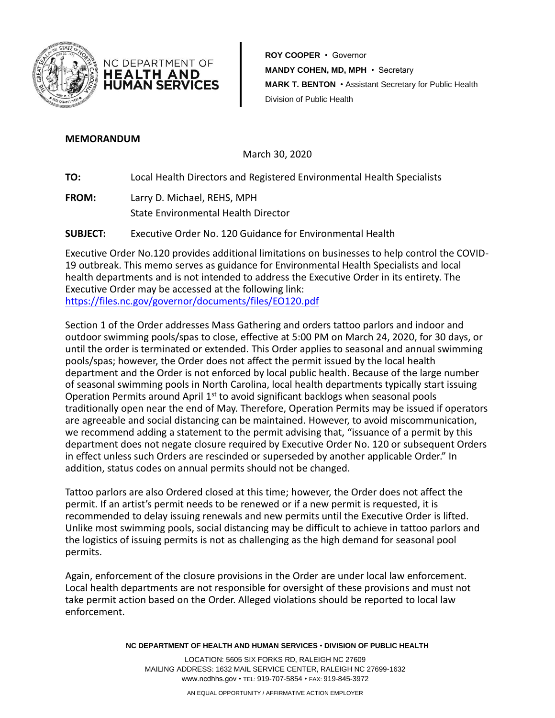

**ROY COOPER** • Governor **MANDY COHEN, MD, MPH** • Secretary **HUMAN SERVICES MARK T. BENTON** • Assistant Secretary for Public Health Division of Public Health

## **MEMORANDUM**

March 30, 2020

**TO:** Local Health Directors and Registered Environmental Health Specialists

**FROM:** Larry D. Michael, REHS, MPH State Environmental Health Director

NC DEPARTMENT OF **HEALTH AND** 

**SUBJECT:** Executive Order No. 120 Guidance for Environmental Health

Executive Order No.120 provides additional limitations on businesses to help control the COVID-19 outbreak. This memo serves as guidance for Environmental Health Specialists and local health departments and is not intended to address the Executive Order in its entirety. The Executive Order may be accessed at the following link: <https://files.nc.gov/governor/documents/files/EO120.pdf>

Section 1 of the Order addresses Mass Gathering and orders tattoo parlors and indoor and outdoor swimming pools/spas to close, effective at 5:00 PM on March 24, 2020, for 30 days, or until the order is terminated or extended. This Order applies to seasonal and annual swimming pools/spas; however, the Order does not affect the permit issued by the local health department and the Order is not enforced by local public health. Because of the large number of seasonal swimming pools in North Carolina, local health departments typically start issuing Operation Permits around April  $1<sup>st</sup>$  to avoid significant backlogs when seasonal pools traditionally open near the end of May. Therefore, Operation Permits may be issued if operators are agreeable and social distancing can be maintained. However, to avoid miscommunication, we recommend adding a statement to the permit advising that, "issuance of a permit by this department does not negate closure required by Executive Order No. 120 or subsequent Orders in effect unless such Orders are rescinded or superseded by another applicable Order." In addition, status codes on annual permits should not be changed.

Tattoo parlors are also Ordered closed at this time; however, the Order does not affect the permit. If an artist's permit needs to be renewed or if a new permit is requested, it is recommended to delay issuing renewals and new permits until the Executive Order is lifted. Unlike most swimming pools, social distancing may be difficult to achieve in tattoo parlors and the logistics of issuing permits is not as challenging as the high demand for seasonal pool permits.

Again, enforcement of the closure provisions in the Order are under local law enforcement. Local health departments are not responsible for oversight of these provisions and must not take permit action based on the Order. Alleged violations should be reported to local law enforcement.

**NC DEPARTMENT OF HEALTH AND HUMAN SERVICES** • **DIVISION OF PUBLIC HEALTH**

LOCATION: 5605 SIX FORKS RD, RALEIGH NC 27609 MAILING ADDRESS: 1632 MAIL SERVICE CENTER, RALEIGH NC 27699-1632 www.ncdhhs.gov • TEL: 919-707-5854 • FAX: 919-845-3972